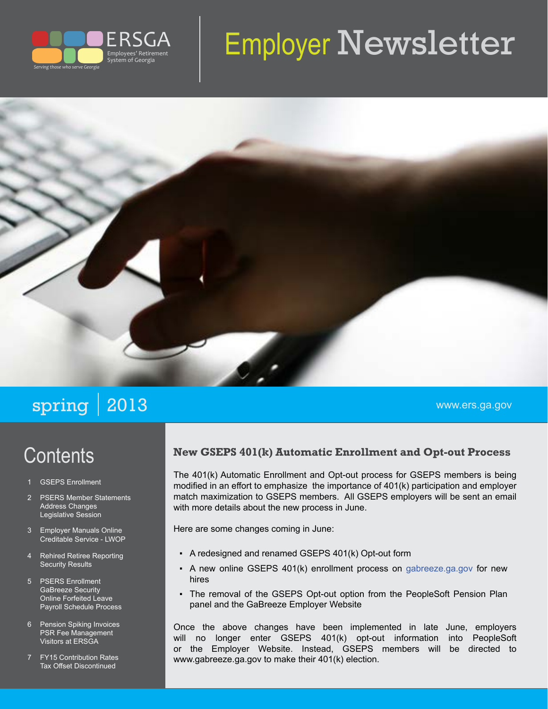

# Employer Newsletter



## spring 2013 www.ers.ga.gov

## **Contents**

- **GSEPS Enrollment**
- 2 PSERS Member Statements Address Changes Legislative Session
- 3 Employer Manuals Online Creditable Service - LWOP
- 4 Rehired Retiree Reporting Security Results
- 5 PSERS Enrollment GaBreeze Security Online Forfeited Leave Payroll Schedule Process
- 6 Pension Spiking Invoices PSR Fee Management Visitors at ERSGA
- 7 FY15 Contribution Rates Tax Offset Discontinued

#### **New GSEPS 401(k) Automatic Enrollment and Opt-out Process**

The 401(k) Automatic Enrollment and Opt-out process for GSEPS members is being modified in an effort to emphasize the importance of 401(k) participation and employer match maximization to GSEPS members. All GSEPS employers will be sent an email with more details about the new process in June.

Here are some changes coming in June:

- A redesigned and renamed GSEPS 401(k) Opt-out form
- A new online GSEPS 401(k) enrollment process on [gabreeze.ga.gov](http://gabreeze.ga.gov) for new hires
- The removal of the GSEPS Opt-out option from the PeopleSoft Pension Plan panel and the GaBreeze Employer Website

Once the above changes have been implemented in late June, employers will no longer enter GSEPS 401(k) opt-out information into PeopleSoft or the Employer Website. Instead, GSEPS members will be directed to [www.gabreeze.ga.gov](http://www.gabreeze.ga.gov) to make their 401(k) election.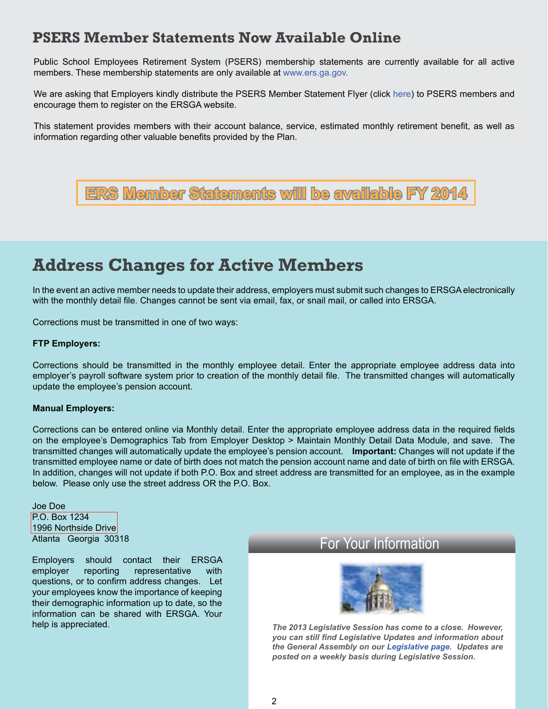#### **PSERS Member Statements Now Available Online**

Public School Employees Retirement System (PSERS) membership statements are currently available for all active members. These membership statements are only available at [www.ers.ga.gov](http://www.ers.ga.gov).

We are asking that Employers kindly distribute the PSERS Member Statement Flyer (click [here](http://www.ers.ga.gov/formspubs/formspubs/PSERSMemberStatementFlyer.pdf)) to PSERS members and encourage them to register on the ERSGA website.

This statement provides members with their account balance, service, estimated monthly retirement benefit, as well as information regarding other valuable benefits provided by the Plan.



### **Address Changes for Active Members**

In the event an active member needs to update their address, employers must submit such changes to ERSGA electronically with the monthly detail file. Changes cannot be sent via email, fax, or snail mail, or called into ERSGA.

Corrections must be transmitted in one of two ways:

#### **FTP Employers:**

Corrections should be transmitted in the monthly employee detail. Enter the appropriate employee address data into employer's payroll software system prior to creation of the monthly detail file. The transmitted changes will automatically update the employee's pension account.

#### **Manual Employers:**

Corrections can be entered online via Monthly detail. Enter the appropriate employee address data in the required fields on the employee's Demographics Tab from Employer Desktop > Maintain Monthly Detail Data Module, and save. The transmitted changes will automatically update the employee's pension account. **Important:** Changes will not update if the transmitted employee name or date of birth does not match the pension account name and date of birth on file with ERSGA. In addition, changes will not update if both P.O. Box and street address are transmitted for an employee, as in the example below. Please only use the street address OR the P.O. Box.

Joe Doe P.O. Box 1234 1996 Northside Drive Atlanta Georgia 30318

Employers should contact their ERSGA employer reporting representative with questions, or to confirm address changes. Let your employees know the importance of keeping their demographic information up to date, so the information can be shared with ERSGA. Your help is appreciated.

#### For Your Information



*The 2013 Legislative Session has come to a close. However, you can still find Legislative Updates and information about the General Assembly on our [Legislative page](http://www.ers.ga.gov/legislation/legislation.aspx)[.](http://www.ers.ga.gov/legislation/legislation.aspx.) Updates are posted on a weekly basis during Legislative Session.*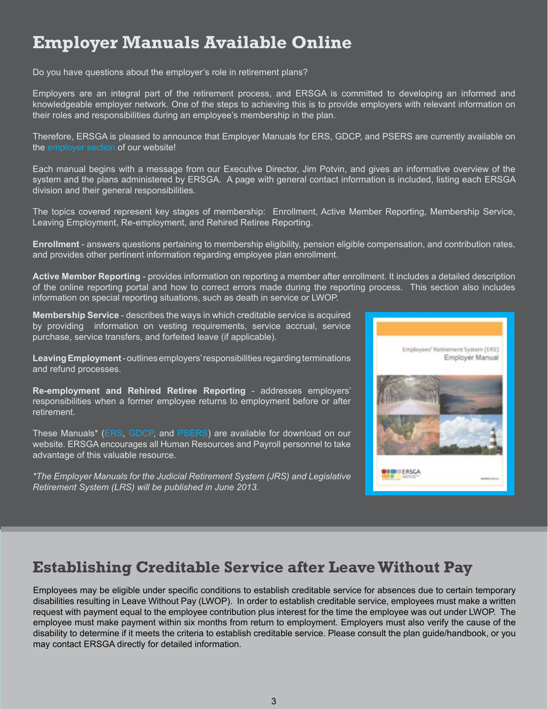## **Employer Manuals Available Online**

Do you have questions about the employer's role in retirement plans?

Employers are an integral part of the retirement process, and ERSGA is committed to developing an informed and knowledgeable employer network. One of the steps to achieving this is to provide employers with relevant information on their roles and responsibilities during an employee's membership in the plan.

Therefore, ERSGA is pleased to announce that Employer Manuals for ERS, GDCP, and PSERS are currently available on the [employer section](http://www.ers.ga.gov/employers/employers.aspx) of our website!

Each manual begins with a message from our Executive Director, Jim Potvin, and gives an informative overview of the system and the plans administered by ERSGA. A page with general contact information is included, listing each ERSGA division and their general responsibilities.

The topics covered represent key stages of membership: Enrollment, Active Member Reporting, Membership Service, Leaving Employment, Re-employment, and Rehired Retiree Reporting.

**Enrollment** - answers questions pertaining to membership eligibility, pension eligible compensation, and contribution rates, and provides other pertinent information regarding employee plan enrollment.

**Active Member Reporting** - provides information on reporting a member after enrollment. It includes a detailed description of the online reporting portal and how to correct errors made during the reporting process. This section also includes information on special reporting situations, such as death in service or LWOP.

**Membership Service** - describes the ways in which creditable service is acquired by providing information on vesting requirements, service accrual, service purchase, service transfers, and forfeited leave (if applicable).

**Leaving Employment** - outlines employers' responsibilities regarding terminations and refund processes.

**Re-employment and Rehired Retiree Reporting** - addresses employers' responsibilities when a former employee returns to employment before or after retirement.

These Manuals\* ([ERS](http://www.ers.ga.gov/formspubs/formspubs/EM_ERS.pdf), [GDCP](http://www.ers.ga.gov/formspubs/formspubs/EM_GDCP.pdf), and [PSERS](http://www.ers.ga.gov/formspubs/formspubs/EM_PSERS.pdf)) are available for download on our website. ERSGA encourages all Human Resources and Payroll personnel to take advantage of this valuable resource.

*\*The Employer Manuals for the Judicial Retirement System (JRS) and Legislative Retirement System (LRS) will be published in June 2013.*



#### **Establishing Creditable Service after Leave Without Pay**

Employees may be eligible under specific conditions to establish creditable service for absences due to certain temporary disabilities resulting in Leave Without Pay (LWOP). In order to establish creditable service, employees must make a written request with payment equal to the employee contribution plus interest for the time the employee was out under LWOP. The employee must make payment within six months from return to employment. Employers must also verify the cause of the disability to determine if it meets the criteria to establish creditable service. Please consult the plan guide/handbook, or you may contact ERSGA directly for detailed information.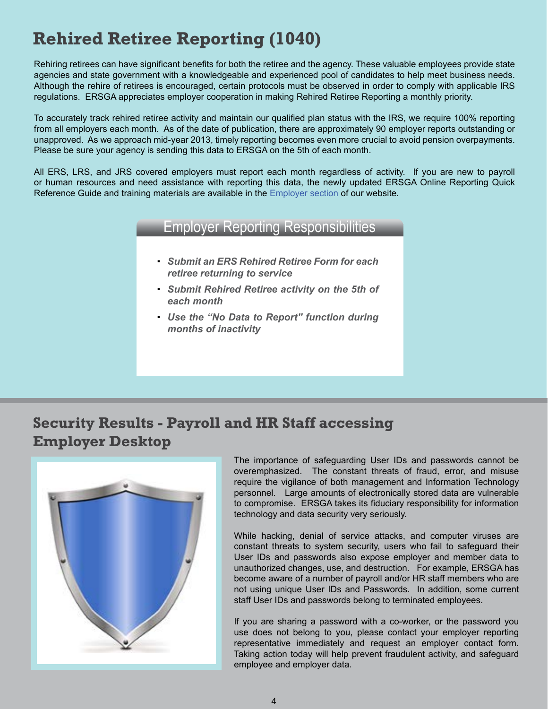## **Rehired Retiree Reporting (1040)**

Rehiring retirees can have significant benefits for both the retiree and the agency. These valuable employees provide state agencies and state government with a knowledgeable and experienced pool of candidates to help meet business needs. Although the rehire of retirees is encouraged, certain protocols must be observed in order to comply with applicable IRS regulations. ERSGA appreciates employer cooperation in making Rehired Retiree Reporting a monthly priority.

To accurately track rehired retiree activity and maintain our qualified plan status with the IRS, we require 100% reporting from all employers each month. As of the date of publication, there are approximately 90 employer reports outstanding or unapproved. As we approach mid-year 2013, timely reporting becomes even more crucial to avoid pension overpayments. Please be sure your agency is sending this data to ERSGA on the 5th of each month.

All ERS, LRS, and JRS covered employers must report each month regardless of activity. If you are new to payroll or human resources and need assistance with reporting this data, the newly updated ERSGA Online Reporting Quick Reference Guide and training materials are available in the [Employer section](http://www.ers.ga.gov/employers/employers.aspx) of our website.

#### Employer Reporting Responsibilities

- *Submit an ERS Rehired Retiree Form for each retiree returning to service*
- *Submit Rehired Retiree activity on the 5th of each month*
- *Use the "No Data to Report" function during months of inactivity*

#### **Security Results - Payroll and HR Staff accessing Employer Desktop**



The importance of safeguarding User IDs and passwords cannot be overemphasized. The constant threats of fraud, error, and misuse require the vigilance of both management and Information Technology personnel. Large amounts of electronically stored data are vulnerable to compromise. ERSGA takes its fiduciary responsibility for information technology and data security very seriously.

While hacking, denial of service attacks, and computer viruses are constant threats to system security, users who fail to safeguard their User IDs and passwords also expose employer and member data to unauthorized changes, use, and destruction. For example, ERSGA has become aware of a number of payroll and/or HR staff members who are not using unique User IDs and Passwords. In addition, some current staff User IDs and passwords belong to terminated employees.

If you are sharing a password with a co-worker, or the password you use does not belong to you, please contact your employer reporting representative immediately and request an employer contact form. Taking action today will help prevent fraudulent activity, and safeguard employee and employer data.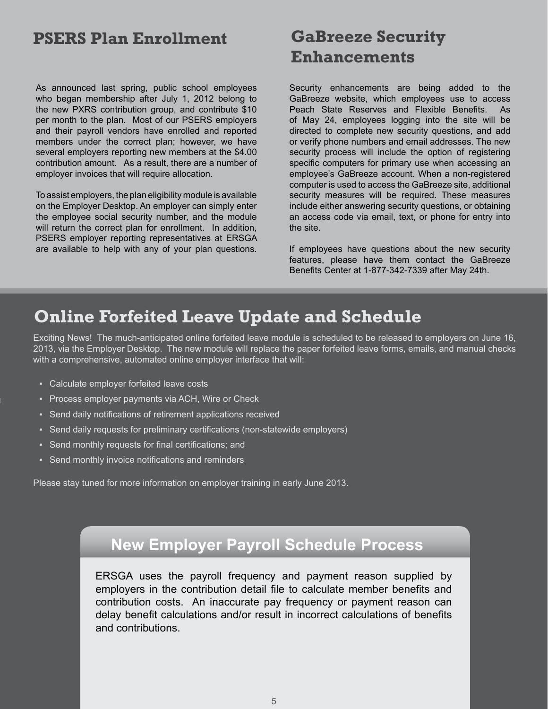#### **PSERS Plan Enrollment**

As announced last spring, public school employees who began membership after July 1, 2012 belong to the new PXRS contribution group, and contribute \$10 per month to the plan. Most of our PSERS employers and their payroll vendors have enrolled and reported members under the correct plan; however, we have several employers reporting new members at the \$4.00 contribution amount. As a result, there are a number of employer invoices that will require allocation.

To assist employers, the plan eligibility module is available on the Employer Desktop. An employer can simply enter the employee social security number, and the module will return the correct plan for enrollment. In addition, PSERS employer reporting representatives at ERSGA are available to help with any of your plan questions.

## **GaBreeze Security Enhancements**

Security enhancements are being added to the GaBreeze website, which employees use to access Peach State Reserves and Flexible Benefits. As of May 24, employees logging into the site will be directed to complete new security questions, and add or verify phone numbers and email addresses. The new security process will include the option of registering specific computers for primary use when accessing an employee's GaBreeze account. When a non-registered computer is used to access the GaBreeze site, additional security measures will be required. These measures include either answering security questions, or obtaining an access code via email, text, or phone for entry into the site.

If employees have questions about the new security features, please have them contact the GaBreeze Benefits Center at 1-877-342-7339 after May 24th.

### **Online Forfeited Leave Update and Schedule**

Exciting News! The much-anticipated online forfeited leave module is scheduled to be released to employers on June 16, 2013, via the Employer Desktop. The new module will replace the paper forfeited leave forms, emails, and manual checks with a comprehensive, automated online employer interface that will:

- Calculate employer forfeited leave costs
- Process employer payments via ACH, Wire or Check
- Send daily notifications of retirement applications received
- Send daily requests for preliminary certifications (non-statewide employers)
- Send monthly requests for final certifications; and
- Send monthly invoice notifications and reminders

Please stay tuned for more information on employer training in early June 2013.

### **New Employer Payroll Schedule Process**

ERSGA uses the payroll frequency and payment reason supplied by employers in the contribution detail file to calculate member benefits and contribution costs. An inaccurate pay frequency or payment reason can delay benefit calculations and/or result in incorrect calculations of benefits and contributions.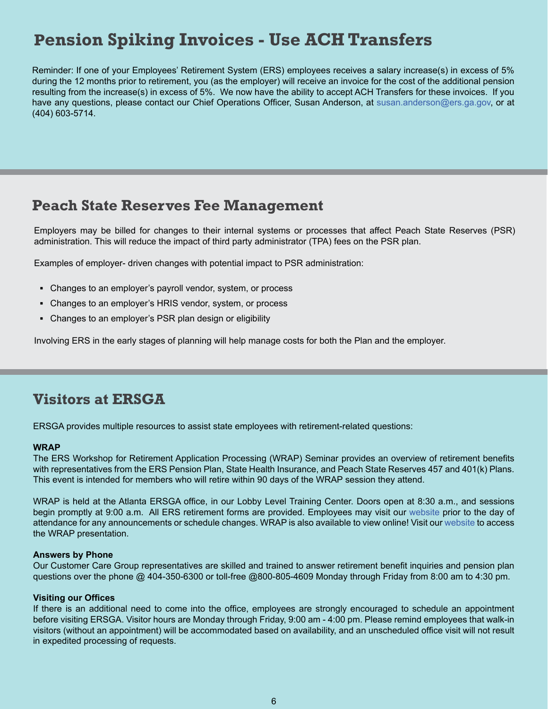## **Pension Spiking Invoices - Use ACH Transfers**

Reminder: If one of your Employees' Retirement System (ERS) employees receives a salary increase(s) in excess of 5% during the 12 months prior to retirement, you (as the employer) will receive an invoice for the cost of the additional pension resulting from the increase(s) in excess of 5%. We now have the ability to accept ACH Transfers for these invoices. If you have any questions, please contact our Chief Operations Officer, Susan Anderson, at [susan.anderson@ers.ga.gov](mailto:susan.anderson@ers.ga.gov), or at (404) 603-5714.

#### **Peach State Reserves Fee Management**

Employers may be billed for changes to their internal systems or processes that affect Peach State Reserves (PSR) administration. This will reduce the impact of third party administrator (TPA) fees on the PSR plan.

Examples of employer- driven changes with potential impact to PSR administration:

- **▪** Changes to an employer's payroll vendor, system, or process
- Changes to an employer's HRIS vendor, system, or process
- **▪** Changes to an employer's PSR plan design or eligibility

Involving ERS in the early stages of planning will help manage costs for both the Plan and the employer.

#### **Visitors at ERSGA**

ERSGA provides multiple resources to assist state employees with retirement-related questions:

#### **WRAP**

The ERS Workshop for Retirement Application Processing (WRAP) Seminar provides an overview of retirement benefits with representatives from the ERS Pension Plan, State Health Insurance, and Peach State Reserves 457 and 401(k) Plans. This event is intended for members who will retire within 90 days of the WRAP session they attend.

WRAP is held at the Atlanta ERSGA office, in our Lobby Level Training Center. Doors open at 8:30 a.m., and sessions begin promptly at 9:00 a.m. All ERS retirement forms are provided. Employees may visit our [website](http://www.ers.ga.gov) prior to the day of attendance for any announcements or schedule changes. WRAP is also available to view online! Visit our [website](http://www.ers.ga.gov/seminars/webinars.aspx) to access the WRAP presentation.

#### **Answers by Phone**

Our Customer Care Group representatives are skilled and trained to answer retirement benefit inquiries and pension plan questions over the phone @ 404-350-6300 or toll-free @800-805-4609 Monday through Friday from 8:00 am to 4:30 pm.

#### **Visiting our Offices**

If there is an additional need to come into the office, employees are strongly encouraged to schedule an appointment before visiting ERSGA. Visitor hours are Monday through Friday, 9:00 am - 4:00 pm. Please remind employees that walk-in visitors (without an appointment) will be accommodated based on availability, and an unscheduled office visit will not result in expedited processing of requests.